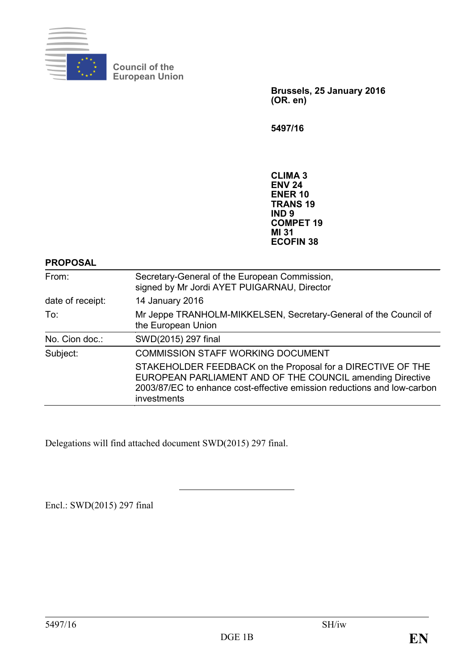

**Council of the European Union**

> **Brussels, 25 January 2016 (OR. en)**

**5497/16**

**CLIMA 3 ENV 24 ENER 10 TRANS 19 IND 9 COMPET 19 MI 31 ECOFIN 38**

**PROPOSAL**

| From:            | Secretary-General of the European Commission,<br>signed by Mr Jordi AYET PUIGARNAU, Director                                                                                                                       |
|------------------|--------------------------------------------------------------------------------------------------------------------------------------------------------------------------------------------------------------------|
| date of receipt: | 14 January 2016                                                                                                                                                                                                    |
| To:              | Mr Jeppe TRANHOLM-MIKKELSEN, Secretary-General of the Council of<br>the European Union                                                                                                                             |
| No. Cion doc.:   | SWD(2015) 297 final                                                                                                                                                                                                |
| Subject:         | <b>COMMISSION STAFF WORKING DOCUMENT</b>                                                                                                                                                                           |
|                  | STAKEHOLDER FEEDBACK on the Proposal for a DIRECTIVE OF THE<br>EUROPEAN PARLIAMENT AND OF THE COUNCIL amending Directive<br>2003/87/EC to enhance cost-effective emission reductions and low-carbon<br>investments |

Delegations will find attached document SWD(2015) 297 final.

Encl.: SWD(2015) 297 final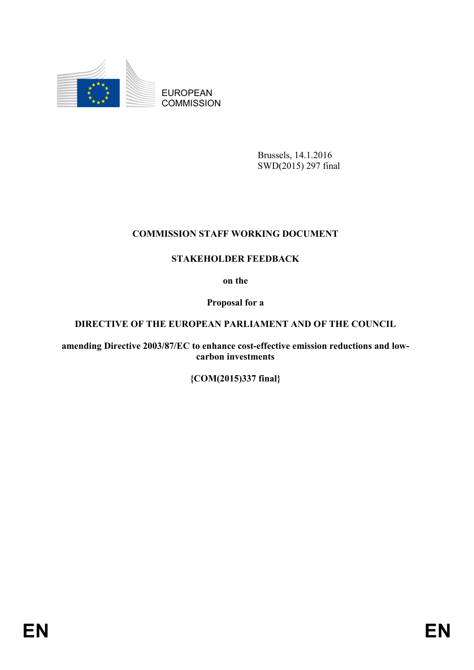

EUROPEAN **COMMISSION** 

> Brussels, 14.1.2016 SWD(2015) 297 final

# **COMMISSION STAFF WORKING DOCUMENT**

# **STAKEHOLDER FEEDBACK**

**on the**

**Proposal for a**

# **DIRECTIVE OF THE EUROPEAN PARLIAMENT AND OF THE COUNCIL**

**amending Directive 2003/87/EC to enhance cost-effective emission reductions and lowcarbon investments**

**{COM(2015)337 final}**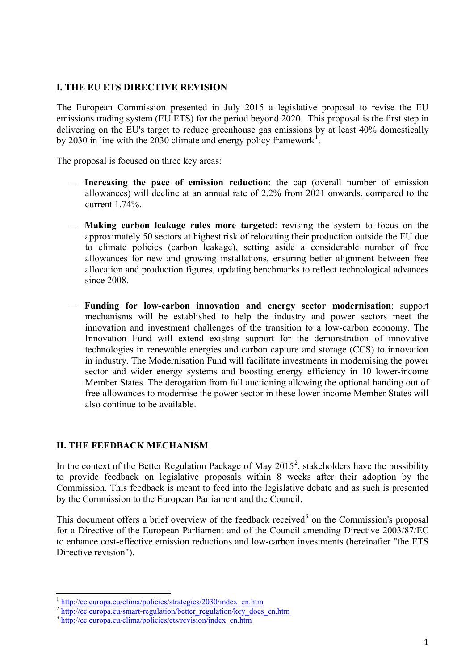### **I. THE EU ETS DIRECTIVE REVISION**

The European Commission presented in July 2015 a legislative proposal to revise the EU emissions trading system (EU ETS) for the period beyond 2020. This proposal is the first step in delivering on the EU's target to reduce greenhouse gas emissions by at least 40% domestically by 2030 in line with the 2030 climate and energy policy framework<sup>[1](#page-2-0)</sup>.

The proposal is focused on three key areas:

- − **Increasing the pace of emission reduction**: the cap (overall number of emission allowances) will decline at an annual rate of 2.2% from 2021 onwards, compared to the current 1.74%.
- − **Making carbon leakage rules more targeted**: revising the system to focus on the approximately 50 sectors at highest risk of relocating their production outside the EU due to climate policies (carbon leakage), setting aside a considerable number of free allowances for new and growing installations, ensuring better alignment between free allocation and production figures, updating benchmarks to reflect technological advances since 2008.
- − **Funding for low**-**carbon innovation and energy sector modernisation**: support mechanisms will be established to help the industry and power sectors meet the innovation and investment challenges of the transition to a low-carbon economy. The Innovation Fund will extend existing support for the demonstration of innovative technologies in renewable energies and carbon capture and storage (CCS) to innovation in industry. The Modernisation Fund will facilitate investments in modernising the power sector and wider energy systems and boosting energy efficiency in 10 lower-income Member States. The derogation from full auctioning allowing the optional handing out of free allowances to modernise the power sector in these lower-income Member States will also continue to be available.

## **II. THE FEEDBACK MECHANISM**

In the context of the Better Regulation Package of May  $2015^2$  $2015^2$ , stakeholders have the possibility to provide feedback on legislative proposals within 8 weeks after their adoption by the Commission. This feedback is meant to feed into the legislative debate and as such is presented by the Commission to the European Parliament and the Council.

This document offers a brief overview of the feedback received<sup>[3](#page-2-2)</sup> on the Commission's proposal for a Directive of the European Parliament and of the Council amending Directive 2003/87/EC to enhance cost-effective emission reductions and low-carbon investments (hereinafter "the ETS Directive revision").

**.** 

<span id="page-2-0"></span><sup>&</sup>lt;sup>1</sup> [http://ec.europa.eu/clima/policies/strategies/2030/index\\_en.htm](http://ec.europa.eu/clima/policies/strategies/2030/index_en.htm)

<span id="page-2-1"></span><sup>&</sup>lt;sup>2</sup> [http://ec.europa.eu/smart-regulation/better\\_regulation/key\\_docs\\_en.htm](http://ec.europa.eu/smart-regulation/better_regulation/key_docs_en.htm) 3 [http://ec.europa.eu/clima/policies/ets/revision/index\\_en.htm](http://ec.europa.eu/clima/policies/ets/revision/index_en.htm)

<span id="page-2-2"></span>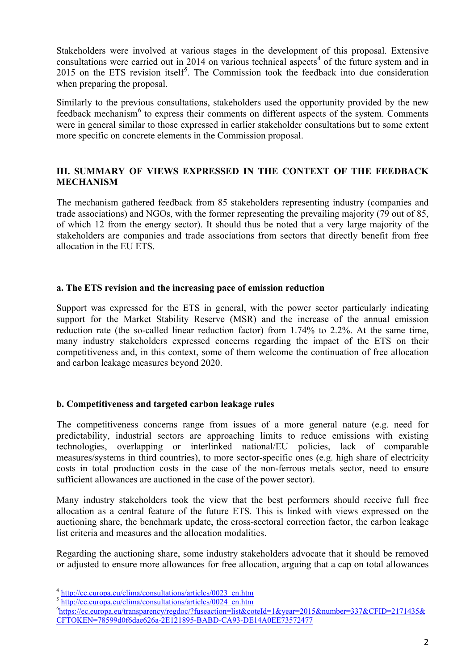Stakeholders were involved at various stages in the development of this proposal. Extensive consultations were carried out in 201[4](#page-3-0) on various technical aspects<sup>4</sup> of the future system and in 201[5](#page-3-1) on the ETS revision itself<sup>5</sup>. The Commission took the feedback into due consideration when preparing the proposal.

Similarly to the previous consultations, stakeholders used the opportunity provided by the new feedback mechanism<sup>[6](#page-3-2)</sup> to express their comments on different aspects of the system. Comments were in general similar to those expressed in earlier stakeholder consultations but to some extent more specific on concrete elements in the Commission proposal.

# **III. SUMMARY OF VIEWS EXPRESSED IN THE CONTEXT OF THE FEEDBACK MECHANISM**

The mechanism gathered feedback from 85 stakeholders representing industry (companies and trade associations) and NGOs, with the former representing the prevailing majority (79 out of 85, of which 12 from the energy sector). It should thus be noted that a very large majority of the stakeholders are companies and trade associations from sectors that directly benefit from free allocation in the EU ETS.

## **a. The ETS revision and the increasing pace of emission reduction**

Support was expressed for the ETS in general, with the power sector particularly indicating support for the Market Stability Reserve (MSR) and the increase of the annual emission reduction rate (the so-called linear reduction factor) from 1.74% to 2.2%. At the same time, many industry stakeholders expressed concerns regarding the impact of the ETS on their competitiveness and, in this context, some of them welcome the continuation of free allocation and carbon leakage measures beyond 2020.

## **b. Competitiveness and targeted carbon leakage rules**

The competitiveness concerns range from issues of a more general nature (e.g. need for predictability, industrial sectors are approaching limits to reduce emissions with existing technologies, overlapping or interlinked national/EU policies, lack of comparable measures/systems in third countries), to more sector-specific ones (e.g. high share of electricity costs in total production costs in the case of the non-ferrous metals sector, need to ensure sufficient allowances are auctioned in the case of the power sector).

Many industry stakeholders took the view that the best performers should receive full free allocation as a central feature of the future ETS. This is linked with views expressed on the auctioning share, the benchmark update, the cross-sectoral correction factor, the carbon leakage list criteria and measures and the allocation modalities.

Regarding the auctioning share, some industry stakeholders advocate that it should be removed or adjusted to ensure more allowances for free allocation, arguing that a cap on total allowances

 $\overline{a}$ 

<sup>&</sup>lt;sup>4</sup> [http://ec.europa.eu/clima/consultations/articles/0023\\_en.htm](http://ec.europa.eu/clima/consultations/articles/0023_en.htm)

<span id="page-3-1"></span><span id="page-3-0"></span><sup>&</sup>lt;sup>5</sup> http://<u>ec.europa.eu/clima/consultations/articles/0024\_en.htm</u>

<span id="page-3-2"></span><sup>6</sup> [https://ec.europa.eu/transparency/regdoc/?fuseaction=list&coteId=1&year=2015&number=337&CFID=2171435&](https://ec.europa.eu/transparency/regdoc/?fuseaction=list&coteId=1&year=2015&number=337&CFID=2171435&CFTOKEN=78599d0f6dae626a-2E121895-BABD-CA93-DE14A0EE73572477) [CFTOKEN=78599d0f6dae626a-2E121895-BABD-CA93-DE14A0EE73572477](https://ec.europa.eu/transparency/regdoc/?fuseaction=list&coteId=1&year=2015&number=337&CFID=2171435&CFTOKEN=78599d0f6dae626a-2E121895-BABD-CA93-DE14A0EE73572477)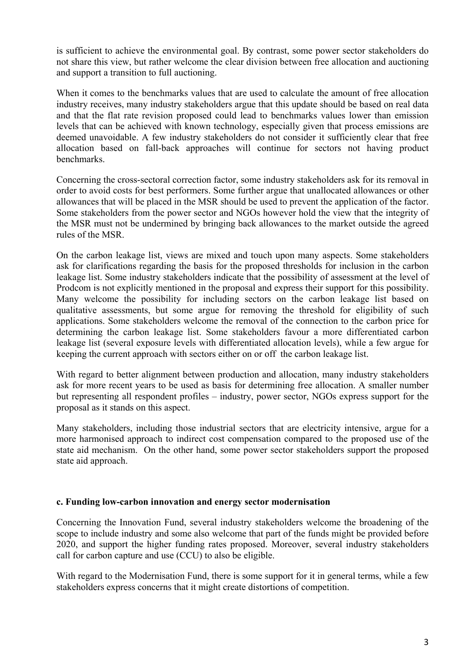is sufficient to achieve the environmental goal. By contrast, some power sector stakeholders do not share this view, but rather welcome the clear division between free allocation and auctioning and support a transition to full auctioning.

When it comes to the benchmarks values that are used to calculate the amount of free allocation industry receives, many industry stakeholders argue that this update should be based on real data and that the flat rate revision proposed could lead to benchmarks values lower than emission levels that can be achieved with known technology, especially given that process emissions are deemed unavoidable. A few industry stakeholders do not consider it sufficiently clear that free allocation based on fall-back approaches will continue for sectors not having product benchmarks.

Concerning the cross-sectoral correction factor, some industry stakeholders ask for its removal in order to avoid costs for best performers. Some further argue that unallocated allowances or other allowances that will be placed in the MSR should be used to prevent the application of the factor. Some stakeholders from the power sector and NGOs however hold the view that the integrity of the MSR must not be undermined by bringing back allowances to the market outside the agreed rules of the MSR.

On the carbon leakage list, views are mixed and touch upon many aspects. Some stakeholders ask for clarifications regarding the basis for the proposed thresholds for inclusion in the carbon leakage list. Some industry stakeholders indicate that the possibility of assessment at the level of Prodcom is not explicitly mentioned in the proposal and express their support for this possibility. Many welcome the possibility for including sectors on the carbon leakage list based on qualitative assessments, but some argue for removing the threshold for eligibility of such applications. Some stakeholders welcome the removal of the connection to the carbon price for determining the carbon leakage list. Some stakeholders favour a more differentiated carbon leakage list (several exposure levels with differentiated allocation levels), while a few argue for keeping the current approach with sectors either on or off the carbon leakage list.

With regard to better alignment between production and allocation, many industry stakeholders ask for more recent years to be used as basis for determining free allocation. A smaller number but representing all respondent profiles – industry, power sector, NGOs express support for the proposal as it stands on this aspect.

Many stakeholders, including those industrial sectors that are electricity intensive, argue for a more harmonised approach to indirect cost compensation compared to the proposed use of the state aid mechanism. On the other hand, some power sector stakeholders support the proposed state aid approach.

### **c. Funding low-carbon innovation and energy sector modernisation**

Concerning the Innovation Fund, several industry stakeholders welcome the broadening of the scope to include industry and some also welcome that part of the funds might be provided before 2020, and support the higher funding rates proposed. Moreover, several industry stakeholders call for carbon capture and use (CCU) to also be eligible.

With regard to the Modernisation Fund, there is some support for it in general terms, while a few stakeholders express concerns that it might create distortions of competition.